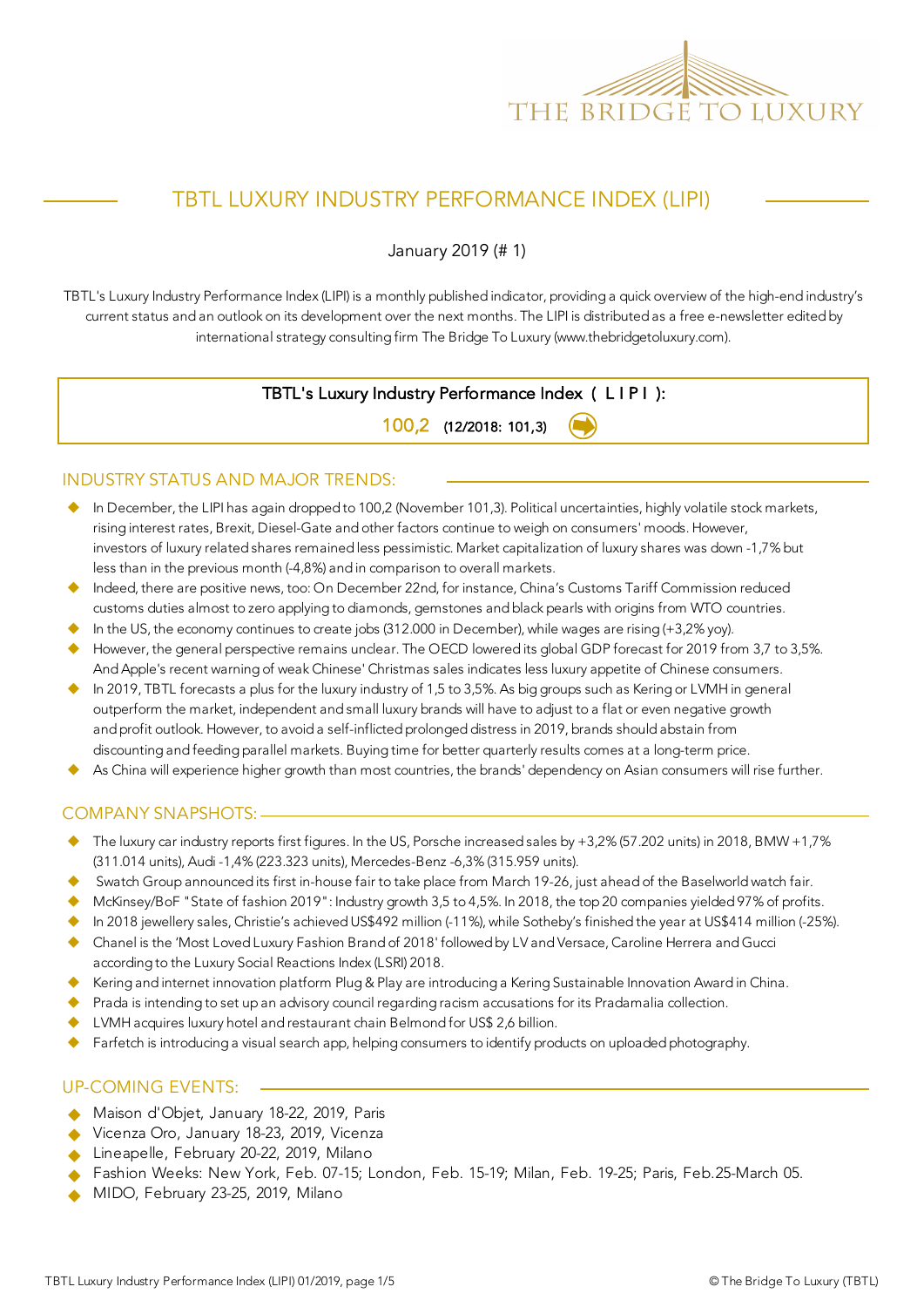

## TBTL LUXURY INDUSTRY PERFORMANCE INDEX (LIPI)

January 2019 (# 1)

TBTL's Luxury Industry Performance Index (LIPI) is a monthly published indicator, providing a quick overview of the high-end industry's current status and an outlook on its development over the next months. The LIPI is distributed as a free e-newsletter edited by international strategy consulting firm The Bridge To Luxury (www.thebridgetoluxury.com).

### TBTL's Luxury Industry Performance Index ( L I P I ):

100,2 (12/2018: 101,3)

#### INDUSTRY STATUS AND MAJOR TRENDS:

- $\blacklozenge$  In December, the LIPI has again dropped to 100,2 (November 101,3). Political uncertainties, highly volatile stock markets, rising interest rates, Brexit, Diesel-Gate and other factors continue to weigh on consumers' moods. However, investors of luxury related shares remained less pessimistic. Market capitalization of luxury shares was down -1,7% but less than in the previous month (-4,8%) and in comparison to overall markets.
- Indeed, there are positive news, too: On December 22nd, for instance, China's Customs Tariff Commission reduced customs duties almost to zero applying to diamonds, gemstones and black pearls with origins from WTO countries.
- In the US, the economy continues to create jobs (312.000 in December), while wages are rising (+3,2% yoy).
- However, the general perspective remains unclear. The OECD lowered its global GDP forecast for 2019 from 3,7 to 3,5%. And Apple's recent warning of weak Chinese' Christmas sales indicates less luxury appetite of Chinese consumers.
- In 2019, TBTL forecasts a plus for the luxury industry of 1,5 to 3,5%. As big groups such as Kering or LVMH in general outperform the market, independent and small luxury brands will have to adjust to a flat or even negative growth and profit outlook. However, to avoid a self-inflicted prolonged distress in 2019, brands should abstain from discounting and feeding parallel markets. Buying time for better quarterly results comes at a long-term price.
- As China will experience higher growth than most countries, the brands' dependency on Asian consumers will rise further.

#### COMPANY SNAPSHOTS:

- The luxury car industry reports first figures. In the US, Porsche increased sales by  $+3,2\%$  (57.202 units) in 2018, BMW  $+1,7\%$ (311.014 units), Audi -1,4% (223.323 units), Mercedes-Benz -6,3% (315.959 units).
- Swatch Group announced its first in-house fair to take place from March 19-26, just ahead of the Baselworld watch fair.
- $\blacklozenge$  McKinsey/BoF "State of fashion 2019": Industry growth 3,5 to 4,5%. In 2018, the top 20 companies yielded 97% of profits.
- In 2018 jewellery sales, Christie's achieved US\$492 million (-11%), while Sotheby's finished the year at US\$414 million (-25%).
- u Chanel is the 'Most Loved Luxury Fashion Brand of 2018' followed by LV and Versace, Caroline Herrera and Gucci according to the Luxury Social Reactions Index (LSRI) 2018.
- Kering and internet innovation platform Plug & Play are introducing a Kering Sustainable Innovation Award in China.
- Prada is intending to set up an advisory council regarding racism accusations for its Pradamalia collection.
- LVMH acquires luxury hotel and restaurant chain Belmond for US\$ 2,6 billion.
- Farfetch is introducing a visual search app, helping consumers to identify products on uploaded photography.

#### UP-COMING EVENTS:

- Maison d'Objet, January 18-22, 2019, Paris
- Vicenza Oro, January 18-23, 2019, Vicenza
- $\triangle$  Lineapelle, February 20-22, 2019, Milano
- Fashion Weeks: New York, Feb. 07-15; London, Feb. 15-19; Milan, Feb. 19-25; Paris, Feb.25-March 05.
- MIDO, February 23-25, 2019, Milano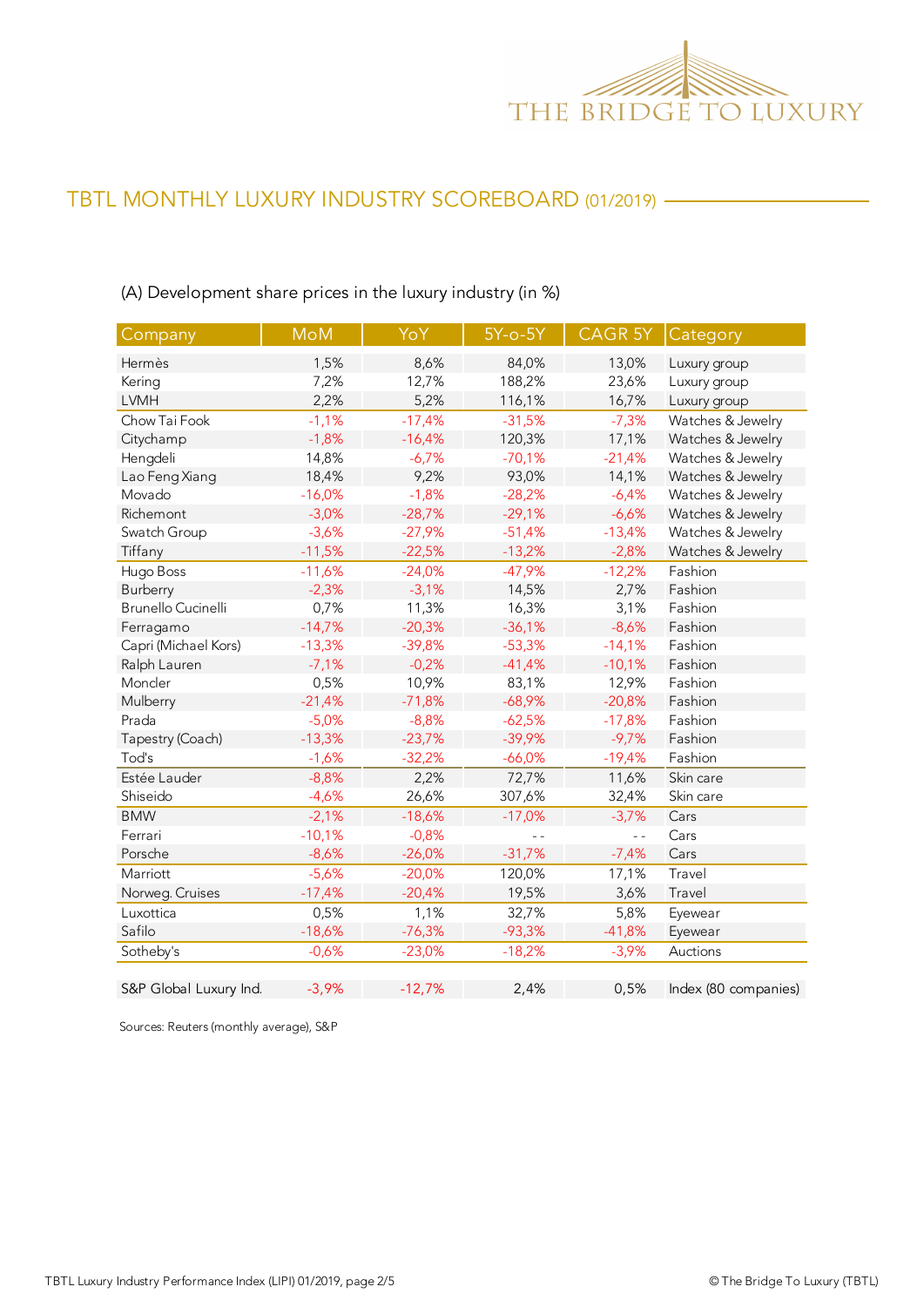

| Company                   | <b>MoM</b> | YoY      | $5Y-0-5Y$      | CAGR 5Y  | Category             |
|---------------------------|------------|----------|----------------|----------|----------------------|
| Hermès                    | 1,5%       | 8,6%     | 84,0%          | 13,0%    | Luxury group         |
| Kering                    | 7,2%       | 12,7%    | 188,2%         | 23,6%    | Luxury group         |
| <b>LVMH</b>               | 2,2%       | 5,2%     | 116,1%         | 16,7%    | Luxury group         |
| Chow Tai Fook             | $-1,1%$    | $-17,4%$ | $-31,5%$       | $-7,3%$  | Watches & Jewelry    |
| Citychamp                 | $-1,8%$    | $-16,4%$ | 120,3%         | 17,1%    | Watches & Jewelry    |
| Hengdeli                  | 14,8%      | $-6,7%$  | $-70,1%$       | $-21,4%$ | Watches & Jewelry    |
| Lao Feng Xiang            | 18,4%      | 9,2%     | 93,0%          | 14,1%    | Watches & Jewelry    |
| Movado                    | $-16,0%$   | $-1,8%$  | $-28,2%$       | $-6,4%$  | Watches & Jewelry    |
| Richemont                 | $-3,0%$    | $-28,7%$ | $-29,1%$       | $-6,6%$  | Watches & Jewelry    |
| Swatch Group              | $-3,6%$    | $-27,9%$ | $-51,4%$       | $-13,4%$ | Watches & Jewelry    |
| Tiffany                   | $-11,5%$   | $-22,5%$ | $-13,2%$       | $-2,8%$  | Watches & Jewelry    |
| Hugo Boss                 | $-11,6%$   | $-24,0%$ | $-47,9%$       | $-12,2%$ | Fashion              |
| Burberry                  | $-2,3%$    | $-3,1%$  | 14,5%          | 2,7%     | Fashion              |
| <b>Brunello Cucinelli</b> | 0,7%       | 11,3%    | 16,3%          | 3,1%     | Fashion              |
| Ferragamo                 | $-14,7%$   | $-20,3%$ | $-36,1%$       | $-8,6%$  | Fashion              |
| Capri (Michael Kors)      | $-13,3%$   | $-39,8%$ | $-53,3%$       | $-14,1%$ | Fashion              |
| Ralph Lauren              | $-7,1%$    | $-0,2%$  | $-41,4%$       | $-10,1%$ | Fashion              |
| Moncler                   | 0,5%       | 10,9%    | 83,1%          | 12,9%    | Fashion              |
| Mulberry                  | $-21,4%$   | $-71,8%$ | $-68,9%$       | $-20,8%$ | Fashion              |
| Prada                     | $-5,0%$    | $-8,8%$  | $-62,5%$       | $-17,8%$ | Fashion              |
| Tapestry (Coach)          | $-13,3%$   | $-23,7%$ | $-39,9%$       | $-9,7%$  | Fashion              |
| Tod's                     | $-1,6%$    | $-32,2%$ | $-66,0%$       | $-19,4%$ | Fashion              |
| Estée Lauder              | $-8,8%$    | 2,2%     | 72,7%          | 11,6%    | Skin care            |
| Shiseido                  | $-4,6%$    | 26,6%    | 307,6%         | 32,4%    | Skin care            |
| <b>BMW</b>                | $-2,1%$    | $-18,6%$ | $-17,0%$       | $-3,7%$  | Cars                 |
| Ferrari                   | $-10,1%$   | $-0,8%$  | $\overline{a}$ | $ -$     | Cars                 |
| Porsche                   | $-8,6%$    | $-26,0%$ | $-31,7%$       | $-7,4%$  | Cars                 |
| Marriott                  | $-5,6%$    | $-20,0%$ | 120,0%         | 17,1%    | Travel               |
| Norweg. Cruises           | $-17,4%$   | $-20,4%$ | 19,5%          | 3,6%     | Travel               |
| Luxottica                 | 0,5%       | 1,1%     | 32,7%          | 5,8%     | Eyewear              |
| Safilo                    | $-18,6%$   | $-76,3%$ | $-93,3%$       | $-41,8%$ | Eyewear              |
| Sotheby's                 | $-0,6%$    | $-23,0%$ | $-18,2%$       | $-3,9%$  | Auctions             |
| S&P Global Luxury Ind.    | $-3,9%$    | $-12,7%$ | 2,4%           | 0,5%     | Index (80 companies) |

(A) Development share prices in the luxury industry (in %)

Sources: Reuters (monthly average), S&P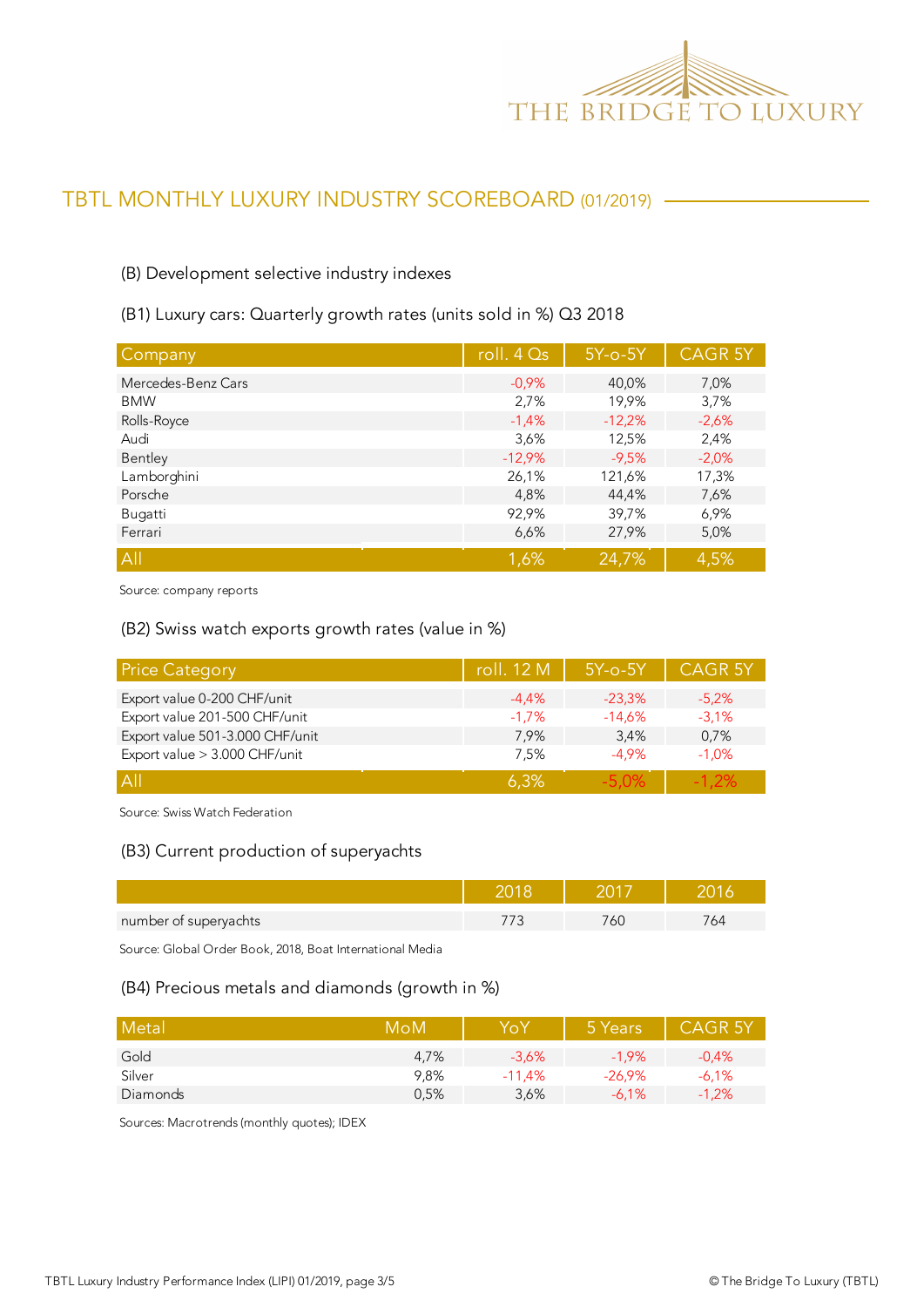

#### (B) Development selective industry indexes

(B1) Luxury cars: Quarterly growth rates (units sold in %) Q3 2018

| Company            | roll. $4Qs$ | $5Y$ -o- $5Y$ | <b>CAGR 5Y</b> |
|--------------------|-------------|---------------|----------------|
| Mercedes-Benz Cars | $-0.9%$     | 40,0%         | 7,0%           |
| <b>BMW</b>         | 2,7%        | 19,9%         | 3,7%           |
| Rolls-Royce        | $-1,4%$     | $-12,2%$      | $-2,6%$        |
| Audi               | 3,6%        | 12,5%         | 2,4%           |
| Bentley            | $-12,9%$    | $-9,5%$       | $-2,0%$        |
| Lamborghini        | 26,1%       | 121,6%        | 17,3%          |
| Porsche            | 4,8%        | 44,4%         | 7,6%           |
| Bugatti            | 92,9%       | 39,7%         | 6,9%           |
| Ferrari            | 6,6%        | 27,9%         | 5,0%           |
| All                | 1,6%        | 24,7%         | 4,5%           |

Source: company reports

#### (B2) Swiss watch exports growth rates (value in %)

| <b>Price Category</b>           | roll. 12 M | $5Y$ -o- $5Y$ | <b>CAGR 5Y</b> |
|---------------------------------|------------|---------------|----------------|
| Export value 0-200 CHF/unit     | $-4.4%$    | $-23.3%$      | $-5,2%$        |
| Export value 201-500 CHF/unit   | $-1.7%$    | $-14,6%$      | $-3.1%$        |
| Export value 501-3.000 CHF/unit | 7.9%       | 3.4%          | 0,7%           |
| Export value > 3.000 CHF/unit   | 7,5%       | $-4.9%$       | $-1.0%$        |
| $\overline{A}$                  | 6.3%       | -5.0%         | $-1.2\%$       |

Source: Swiss Watch Federation

#### (B3) Current production of superyachts

| number of superyachts | DC. | 74 |
|-----------------------|-----|----|

Source: Global Order Book, 2018, Boat International Media

#### (B4) Precious metals and diamonds (growth in %)

| Metal    | MoM  | YoY      | 5 Years   | <b>CAGR 5Y</b> |
|----------|------|----------|-----------|----------------|
| Gold     | 4.7% | $-3.6%$  | $-1.9\%$  | $-0.4%$        |
| Silver   | 9.8% | $-11.4%$ | $-26.9\%$ | $-6,1%$        |
| Diamonds | 0,5% | 3,6%     | $-6.1%$   | $-1,2%$        |

Sources: Macrotrends (monthly quotes); IDEX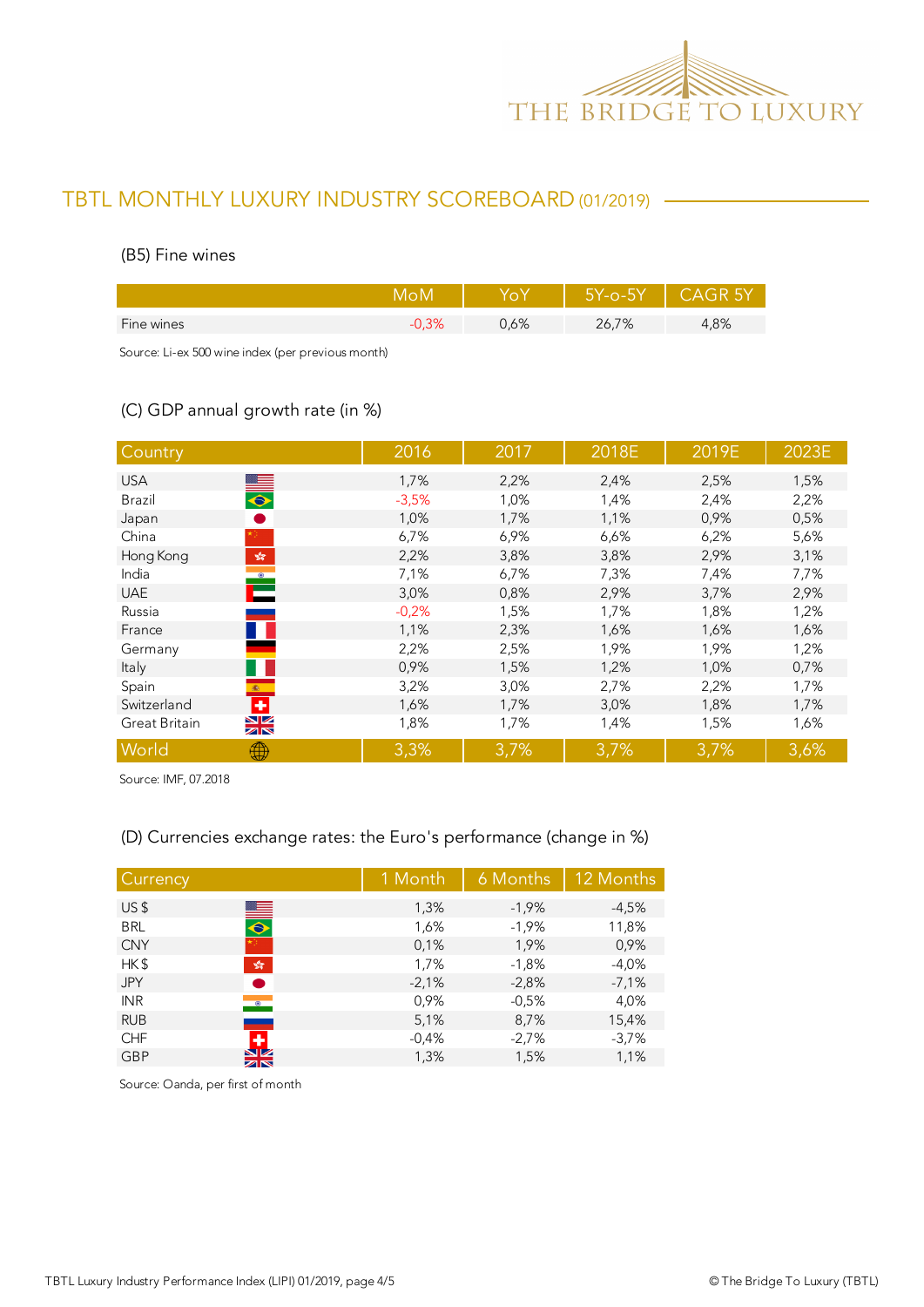

#### (B5) Fine wines

|            |      | $5Y$ -0- $5Y$ | - CAGR 5Y |
|------------|------|---------------|-----------|
| Fine wines | 0,6% | 26,7%         | .8%       |
|            |      |               |           |

Source: Li-ex 500 wine index (per previous month)

### (C) GDP annual growth rate (in %)

| Country                                          | 2016    | 2017 | 2018E | 2019E | 2023E |
|--------------------------------------------------|---------|------|-------|-------|-------|
| <b>USA</b>                                       | 1,7%    | 2,2% | 2,4%  | 2,5%  | 1,5%  |
| $\begin{array}{c} \bullet \end{array}$<br>Brazil | $-3,5%$ | 1,0% | 1,4%  | 2,4%  | 2,2%  |
| Japan                                            | 1,0%    | 1,7% | 1,1%  | 0,9%  | 0,5%  |
| China                                            | 6,7%    | 6,9% | 6,6%  | 6,2%  | 5,6%  |
| $\frac{\sqrt{3}}{2\sqrt{6}}$<br>Hong Kong        | 2,2%    | 3,8% | 3,8%  | 2,9%  | 3,1%  |
| $\mathbf{r}$<br>India                            | 7,1%    | 6,7% | 7,3%  | 7,4%  | 7,7%  |
| <b>UAE</b>                                       | 3,0%    | 0,8% | 2,9%  | 3,7%  | 2,9%  |
| Russia                                           | $-0,2%$ | 1,5% | 1,7%  | 1,8%  | 1,2%  |
| France                                           | 1,1%    | 2,3% | 1,6%  | 1,6%  | 1,6%  |
| Germany                                          | 2,2%    | 2,5% | 1,9%  | 1,9%  | 1,2%  |
| Italy                                            | 0,9%    | 1,5% | 1,2%  | 1,0%  | 0,7%  |
| Spain<br>$\mathfrak{G}$ .                        | 3,2%    | 3,0% | 2,7%  | 2,2%  | 1,7%  |
| ٠<br>Switzerland                                 | 1,6%    | 1,7% | 3,0%  | 1,8%  | 1,7%  |
| $\frac{\sum x}{\sum x}$<br>Great Britain         | 1,8%    | 1,7% | 1,4%  | 1,5%  | 1,6%  |
| World<br>₩                                       | 3,3%    | 3,7% | 3,7%  | 3,7%  | 3,6%  |

Source: IMF, 07.2018

### (D) Currencies exchange rates: the Euro's performance (change in %)

| Currency                             | 1 Month | 6 Months | 12 Months |
|--------------------------------------|---------|----------|-----------|
| US\$                                 | 1,3%    | $-1,9%$  | $-4,5%$   |
| $\blacksquare$<br><b>BRL</b>         | 1,6%    | $-1,9%$  | 11,8%     |
| <b>CNY</b>                           | 0.1%    | 1,9%     | 0,9%      |
| HK\$<br>$\frac{\sqrt{3}}{2\sqrt{3}}$ | 1,7%    | $-1,8%$  | $-4,0%$   |
| <b>JPY</b>                           | $-2,1%$ | $-2,8%$  | $-7,1%$   |
| <b>INR</b><br>$\bullet$              | 0,9%    | $-0,5%$  | 4,0%      |
| <b>RUB</b>                           | 5,1%    | 8,7%     | 15,4%     |
| ٠<br><b>CHF</b>                      | $-0,4%$ | $-2,7%$  | $-3,7%$   |
| $\frac{N}{N}$<br><b>GBP</b>          | 1,3%    | 1,5%     | 1,1%      |
|                                      |         |          |           |

Source: Oanda, per first of month